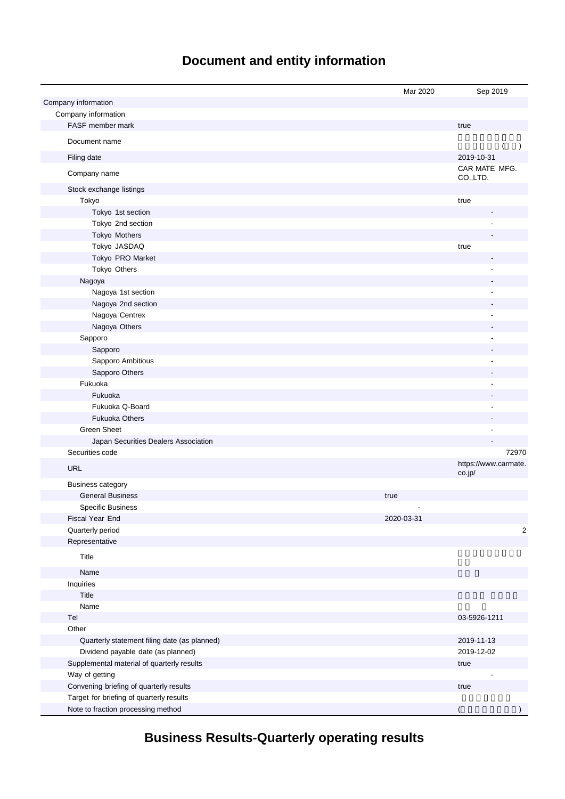# **Document and entity information**

|                                              | Mar 2020   | Sep 2019                  |
|----------------------------------------------|------------|---------------------------|
| Company information                          |            |                           |
| Company information                          |            |                           |
| FASF member mark                             |            | true                      |
| Document name                                |            | $\lambda$                 |
| Filing date                                  |            | 2019-10-31                |
| Company name                                 |            | CAR MATE MFG.<br>CO.,LTD. |
| Stock exchange listings                      |            |                           |
| Tokyo                                        |            | true                      |
| Tokyo 1st section                            |            |                           |
| Tokyo 2nd section                            |            |                           |
| Tokyo Mothers                                |            |                           |
| Tokyo JASDAQ                                 |            | true                      |
| Tokyo PRO Market                             |            |                           |
| Tokyo Others                                 |            |                           |
| Nagoya                                       |            |                           |
| Nagoya 1st section                           |            |                           |
| Nagoya 2nd section                           |            |                           |
| Nagoya Centrex                               |            |                           |
| Nagoya Others                                |            |                           |
| Sapporo                                      |            |                           |
| Sapporo                                      |            |                           |
| Sapporo Ambitious                            |            |                           |
| Sapporo Others                               |            |                           |
| Fukuoka                                      |            |                           |
| Fukuoka                                      |            |                           |
| Fukuoka Q-Board                              |            |                           |
| <b>Fukuoka Others</b>                        |            |                           |
| <b>Green Sheet</b>                           |            |                           |
| Japan Securities Dealers Association         |            |                           |
| Securities code                              |            | 72970                     |
|                                              |            | https://www.carmate.      |
| <b>URL</b>                                   |            | co.jp/                    |
| <b>Business category</b>                     |            |                           |
| <b>General Business</b>                      | true       |                           |
| <b>Specific Business</b>                     |            |                           |
| Fiscal Year End                              | 2020-03-31 |                           |
| Quarterly period                             |            | 2                         |
| Representative                               |            |                           |
| Title                                        |            |                           |
| Name                                         |            |                           |
| Inquiries                                    |            |                           |
| Title                                        |            |                           |
| Name                                         |            |                           |
| Tel                                          |            | 03-5926-1211              |
| Other                                        |            |                           |
| Quarterly statement filing date (as planned) |            | 2019-11-13                |
| Dividend payable date (as planned)           |            | 2019-12-02                |
| Supplemental material of quarterly results   |            | true                      |
| Way of getting                               |            |                           |
| Convening briefing of quarterly results      |            | true                      |
| Target for briefing of quarterly results     |            |                           |
| Note to fraction processing method           |            |                           |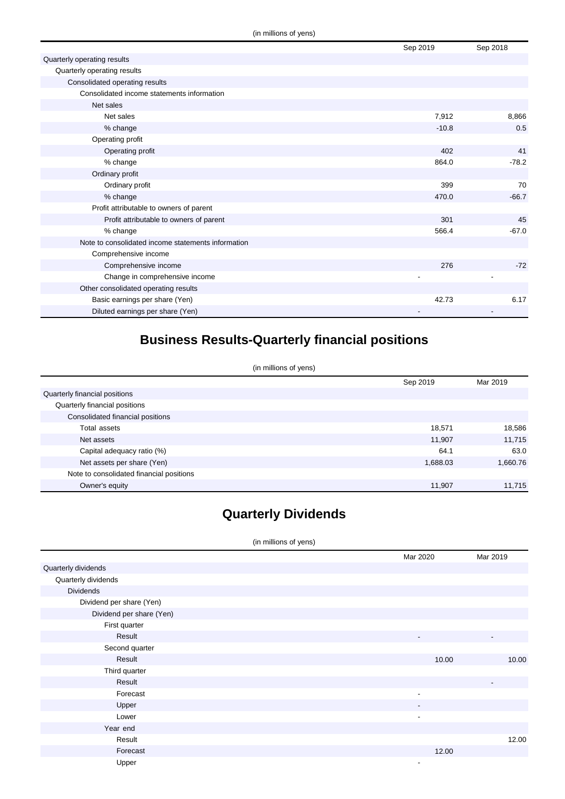|                                                    | Sep 2019 | Sep 2018 |
|----------------------------------------------------|----------|----------|
| Quarterly operating results                        |          |          |
| Quarterly operating results                        |          |          |
| Consolidated operating results                     |          |          |
| Consolidated income statements information         |          |          |
| Net sales                                          |          |          |
| Net sales                                          | 7,912    | 8,866    |
| % change                                           | $-10.8$  | 0.5      |
| Operating profit                                   |          |          |
| Operating profit                                   | 402      | 41       |
| % change                                           | 864.0    | $-78.2$  |
| Ordinary profit                                    |          |          |
| Ordinary profit                                    | 399      | 70       |
| % change                                           | 470.0    | $-66.7$  |
| Profit attributable to owners of parent            |          |          |
| Profit attributable to owners of parent            | 301      | 45       |
| % change                                           | 566.4    | $-67.0$  |
| Note to consolidated income statements information |          |          |
| Comprehensive income                               |          |          |
| Comprehensive income                               | 276      | $-72$    |
| Change in comprehensive income                     |          |          |
| Other consolidated operating results               |          |          |
| Basic earnings per share (Yen)                     | 42.73    | 6.17     |
| Diluted earnings per share (Yen)                   |          |          |

## **Business Results-Quarterly financial positions**

(in millions of yens)

|                                          | Sep 2019 | Mar 2019 |
|------------------------------------------|----------|----------|
| Quarterly financial positions            |          |          |
| Quarterly financial positions            |          |          |
| Consolidated financial positions         |          |          |
| Total assets                             | 18,571   | 18,586   |
| Net assets                               | 11,907   | 11,715   |
| Capital adequacy ratio (%)               | 64.1     | 63.0     |
| Net assets per share (Yen)               | 1,688.03 | 1,660.76 |
| Note to consolidated financial positions |          |          |
| Owner's equity                           | 11,907   | 11.715   |

## **Quarterly Dividends**

#### (in millions of yens)

|                          | Mar 2020                 | Mar 2019                 |
|--------------------------|--------------------------|--------------------------|
| Quarterly dividends      |                          |                          |
| Quarterly dividends      |                          |                          |
| <b>Dividends</b>         |                          |                          |
| Dividend per share (Yen) |                          |                          |
| Dividend per share (Yen) |                          |                          |
| First quarter            |                          |                          |
| Result                   | ۰.                       | $\overline{\phantom{a}}$ |
| Second quarter           |                          |                          |
| Result                   | 10.00                    | 10.00                    |
| Third quarter            |                          |                          |
| Result                   |                          | $\overline{\phantom{a}}$ |
| Forecast                 | $\overline{\phantom{a}}$ |                          |
| Upper                    | ۰.                       |                          |
| Lower                    | $\overline{\phantom{0}}$ |                          |
| Year end                 |                          |                          |
| Result                   |                          | 12.00                    |
| Forecast                 | 12.00                    |                          |
| Upper                    | ٠                        |                          |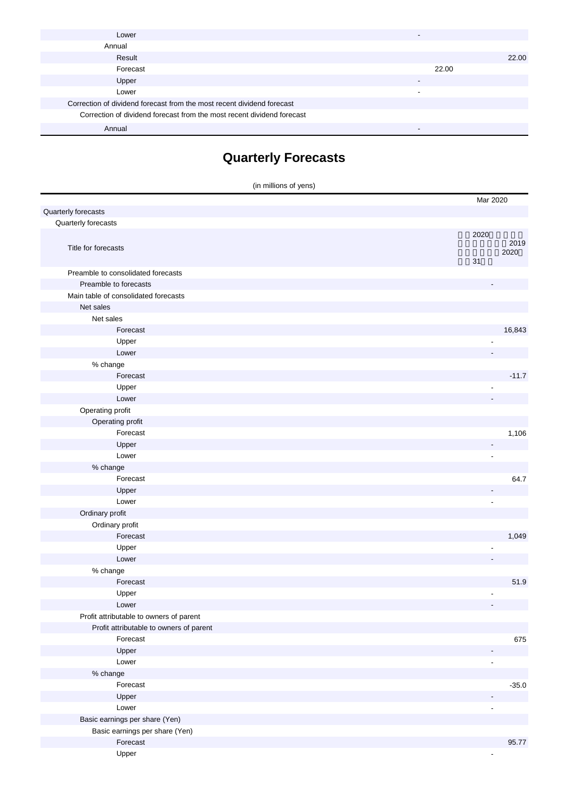| Lower                                                                  |       |
|------------------------------------------------------------------------|-------|
| Annual                                                                 |       |
| Result                                                                 | 22.00 |
| Forecast                                                               | 22.00 |
| Upper                                                                  | -     |
| Lower                                                                  |       |
| Correction of dividend forecast from the most recent dividend forecast |       |
| Correction of dividend forecast from the most recent dividend forecast |       |
| Annual                                                                 |       |

# **Quarterly Forecasts**

|                                         | (in millions of yens)    |         |
|-----------------------------------------|--------------------------|---------|
|                                         | Mar 2020                 |         |
| Quarterly forecasts                     |                          |         |
| Quarterly forecasts                     |                          |         |
|                                         | 2020                     |         |
| Title for forecasts                     |                          | 2019    |
|                                         | 31                       | 2020    |
| Preamble to consolidated forecasts      |                          |         |
| Preamble to forecasts                   |                          |         |
| Main table of consolidated forecasts    |                          |         |
| Net sales                               |                          |         |
| Net sales                               |                          |         |
| Forecast                                |                          | 16,843  |
| Upper                                   |                          |         |
| Lower                                   |                          |         |
| % change                                |                          |         |
| Forecast                                |                          | $-11.7$ |
| Upper                                   |                          |         |
| Lower                                   |                          |         |
| Operating profit                        |                          |         |
| Operating profit                        |                          |         |
| Forecast                                |                          | 1,106   |
| Upper                                   | $\overline{\phantom{a}}$ |         |
| Lower                                   | $\blacksquare$           |         |
| % change                                |                          |         |
| Forecast                                |                          | 64.7    |
| Upper                                   | ٠                        |         |
| Lower                                   | ٠                        |         |
| Ordinary profit                         |                          |         |
| Ordinary profit                         |                          |         |
| Forecast                                |                          | 1,049   |
| Upper                                   |                          |         |
| Lower                                   |                          |         |
| % change                                |                          |         |
| Forecast                                |                          | 51.9    |
| Upper                                   |                          |         |
| Lower                                   | $\overline{\phantom{a}}$ |         |
| Profit attributable to owners of parent |                          |         |
| Profit attributable to owners of parent |                          |         |
| Forecast                                |                          | 675     |
| Upper                                   |                          |         |
| Lower                                   | ٠                        |         |
| % change                                |                          |         |
| Forecast                                |                          | $-35.0$ |
| Upper                                   |                          |         |
| Lower                                   | ÷,                       |         |
| Basic earnings per share (Yen)          |                          |         |
| Basic earnings per share (Yen)          |                          |         |
| Forecast                                |                          | 95.77   |
| Upper                                   |                          |         |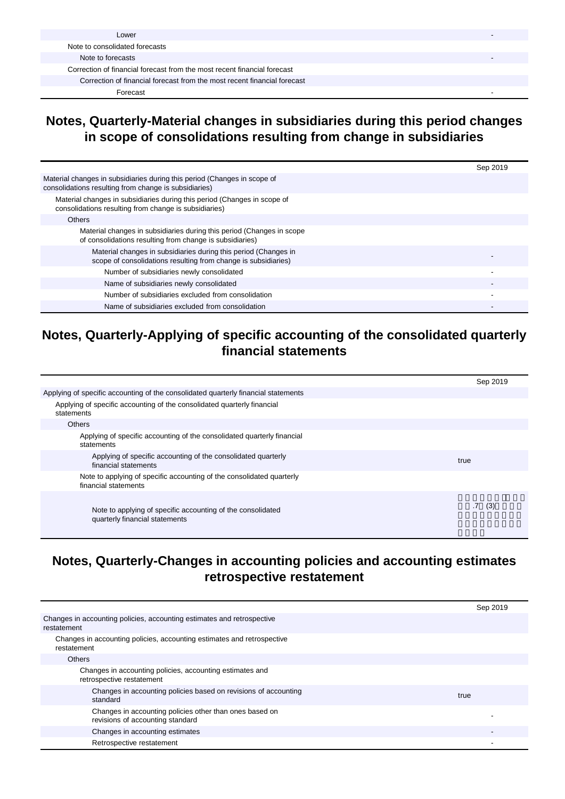| Lower                                                                    |  |
|--------------------------------------------------------------------------|--|
| Note to consolidated forecasts                                           |  |
| Note to forecasts                                                        |  |
| Correction of financial forecast from the most recent financial forecast |  |
| Correction of financial forecast from the most recent financial forecast |  |
| Forecast                                                                 |  |

### **Notes, Quarterly-Material changes in subsidiaries during this period changes in scope of consolidations resulting from change in subsidiaries**

|                                                                                                                                   | Sep 2019 |
|-----------------------------------------------------------------------------------------------------------------------------------|----------|
| Material changes in subsidiaries during this period (Changes in scope of<br>consolidations resulting from change is subsidiaries) |          |
| Material changes in subsidiaries during this period (Changes in scope of<br>consolidations resulting from change is subsidiaries) |          |
| <b>Others</b>                                                                                                                     |          |
| Material changes in subsidiaries during this period (Changes in scope<br>of consolidations resulting from change is subsidiaries) |          |
| Material changes in subsidiaries during this period (Changes in<br>scope of consolidations resulting from change is subsidiaries) |          |
| Number of subsidiaries newly consolidated                                                                                         |          |
| Name of subsidiaries newly consolidated                                                                                           |          |
| Number of subsidiaries excluded from consolidation                                                                                |          |
| Name of subsidiaries excluded from consolidation                                                                                  |          |

## **Notes, Quarterly-Applying of specific accounting of the consolidated quarterly financial statements**

|                                                                                               | Sep 2019 |
|-----------------------------------------------------------------------------------------------|----------|
| Applying of specific accounting of the consolidated quarterly financial statements            |          |
| Applying of specific accounting of the consolidated quarterly financial<br>statements         |          |
| <b>Others</b>                                                                                 |          |
| Applying of specific accounting of the consolidated quarterly financial<br>statements         |          |
| Applying of specific accounting of the consolidated quarterly<br>financial statements         | true     |
| Note to applying of specific accounting of the consolidated quarterly<br>financial statements |          |
| Note to applying of specific accounting of the consolidated<br>quarterly financial statements | .7(3)    |

### **Notes, Quarterly-Changes in accounting policies and accounting estimates retrospective restatement**

|                                                                                             | Sep 2019 |
|---------------------------------------------------------------------------------------------|----------|
| Changes in accounting policies, accounting estimates and retrospective<br>restatement       |          |
| Changes in accounting policies, accounting estimates and retrospective<br>restatement       |          |
| <b>Others</b>                                                                               |          |
| Changes in accounting policies, accounting estimates and<br>retrospective restatement       |          |
| Changes in accounting policies based on revisions of accounting<br>standard                 | true     |
| Changes in accounting policies other than ones based on<br>revisions of accounting standard |          |
| Changes in accounting estimates                                                             |          |
| Retrospective restatement                                                                   |          |